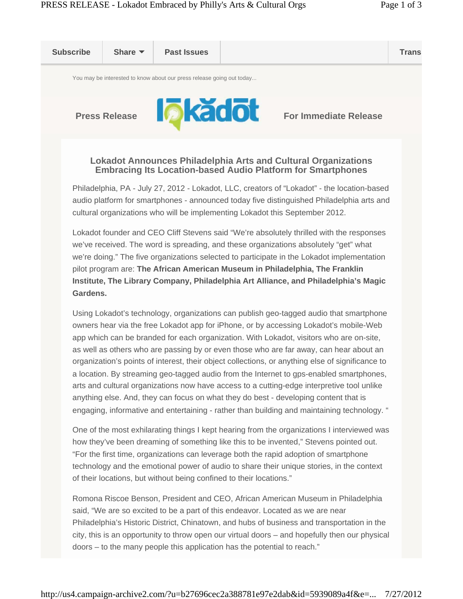

Using Lokadot's technology, organizations can publish geo-tagged audio that smartphone owners hear via the free Lokadot app for iPhone, or by accessing Lokadot's mobile-Web app which can be branded for each organization. With Lokadot, visitors who are on-site, as well as others who are passing by or even those who are far away, can hear about an organization's points of interest, their object collections, or anything else of significance to a location. By streaming geo-tagged audio from the Internet to gps-enabled smartphones, arts and cultural organizations now have access to a cutting-edge interpretive tool unlike anything else. And, they can focus on what they do best - developing content that is engaging, informative and entertaining - rather than building and maintaining technology. "

One of the most exhilarating things I kept hearing from the organizations I interviewed was how they've been dreaming of something like this to be invented," Stevens pointed out. "For the first time, organizations can leverage both the rapid adoption of smartphone technology and the emotional power of audio to share their unique stories, in the context of their locations, but without being confined to their locations."

Romona Riscoe Benson, President and CEO, African American Museum in Philadelphia said, "We are so excited to be a part of this endeavor. Located as we are near Philadelphia's Historic District, Chinatown, and hubs of business and transportation in the city, this is an opportunity to throw open our virtual doors – and hopefully then our physical doors – to the many people this application has the potential to reach."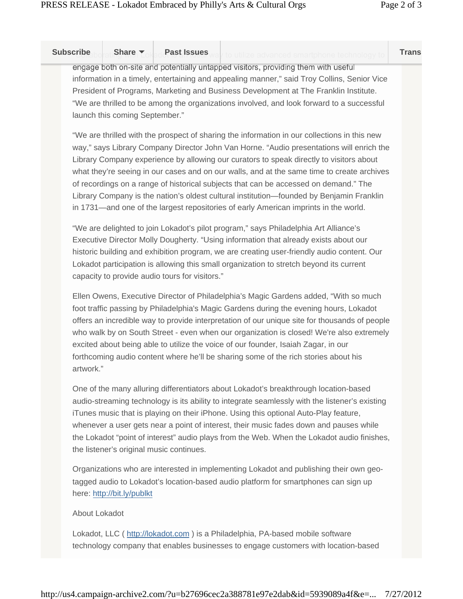| <b>Subscribe</b><br>Share $\blacktriangledown$                                                                                                                                                                                                                                                                                                                                                          | Past Issues way to utilize advanced smartphone technology to                                                                                                                                                                                                                                                                                                                                                                                                                                                                                                                                                                                                  | <b>Trans</b> |
|---------------------------------------------------------------------------------------------------------------------------------------------------------------------------------------------------------------------------------------------------------------------------------------------------------------------------------------------------------------------------------------------------------|---------------------------------------------------------------------------------------------------------------------------------------------------------------------------------------------------------------------------------------------------------------------------------------------------------------------------------------------------------------------------------------------------------------------------------------------------------------------------------------------------------------------------------------------------------------------------------------------------------------------------------------------------------------|--------------|
| engage both on-site and potentially untapped visitors, providing them with useful<br>information in a timely, entertaining and appealing manner," said Troy Collins, Senior Vice<br>President of Programs, Marketing and Business Development at The Franklin Institute.<br>"We are thrilled to be among the organizations involved, and look forward to a successful<br>launch this coming September." |                                                                                                                                                                                                                                                                                                                                                                                                                                                                                                                                                                                                                                                               |              |
|                                                                                                                                                                                                                                                                                                                                                                                                         | "We are thrilled with the prospect of sharing the information in our collections in this new<br>way," says Library Company Director John Van Horne. "Audio presentations will enrich the<br>Library Company experience by allowing our curators to speak directly to visitors about<br>what they're seeing in our cases and on our walls, and at the same time to create archives<br>of recordings on a range of historical subjects that can be accessed on demand." The<br>Library Company is the nation's oldest cultural institution—founded by Benjamin Franklin<br>in 1731—and one of the largest repositories of early American imprints in the world. |              |
| capacity to provide audio tours for visitors."                                                                                                                                                                                                                                                                                                                                                          | "We are delighted to join Lokadot's pilot program," says Philadelphia Art Alliance's<br>Executive Director Molly Dougherty. "Using information that already exists about our<br>historic building and exhibition program, we are creating user-friendly audio content. Our<br>Lokadot participation is allowing this small organization to stretch beyond its current                                                                                                                                                                                                                                                                                         |              |
| artwork."                                                                                                                                                                                                                                                                                                                                                                                               | Ellen Owens, Executive Director of Philadelphia's Magic Gardens added, "With so much<br>foot traffic passing by Philadelphia's Magic Gardens during the evening hours, Lokadot<br>offers an incredible way to provide interpretation of our unique site for thousands of people<br>who walk by on South Street - even when our organization is closed! We're also extremely<br>excited about being able to utilize the voice of our founder, Isaiah Zagar, in our<br>forthcoming audio content where he'll be sharing some of the rich stories about his                                                                                                      |              |
| the listener's original music continues.                                                                                                                                                                                                                                                                                                                                                                | One of the many alluring differentiators about Lokadot's breakthrough location-based<br>audio-streaming technology is its ability to integrate seamlessly with the listener's existing<br>iTunes music that is playing on their iPhone. Using this optional Auto-Play feature,<br>whenever a user gets near a point of interest, their music fades down and pauses while<br>the Lokadot "point of interest" audio plays from the Web. When the Lokadot audio finishes,                                                                                                                                                                                        |              |
| here: http://bit.ly/publkt                                                                                                                                                                                                                                                                                                                                                                              | Organizations who are interested in implementing Lokadot and publishing their own geo-<br>tagged audio to Lokadot's location-based audio platform for smartphones can sign up                                                                                                                                                                                                                                                                                                                                                                                                                                                                                 |              |

## About Lokadot

Lokadot, LLC ( http://lokadot.com ) is a Philadelphia, PA-based mobile software technology company that enables businesses to engage customers with location-based